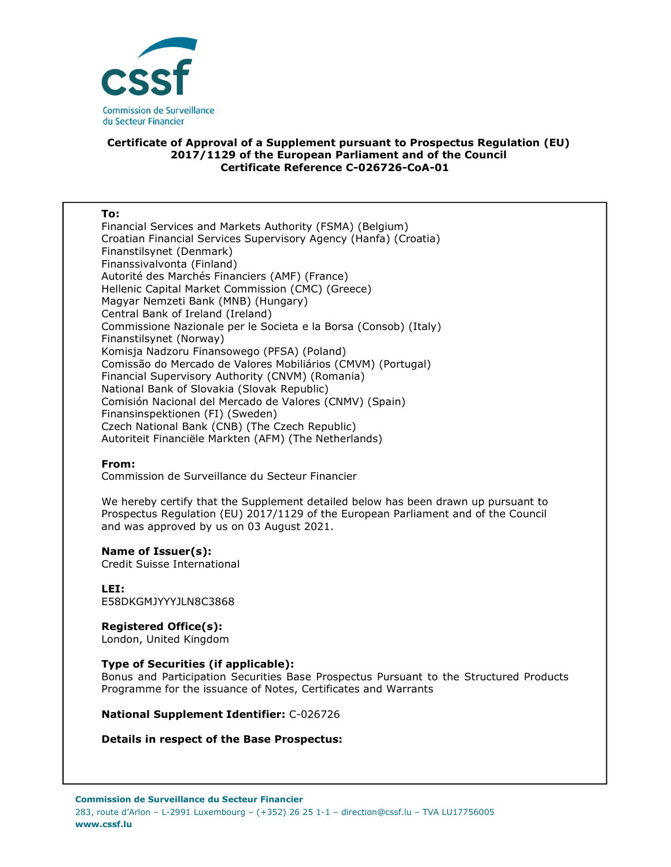

## **Certificate of Approval of a Supplement pursuant to Prospectus Regulation (EU) 2017/1129 of the European Parliament and of the Council Certificate Reference C-026726-CoA-01**

### **To:**

Financial Services and Markets Authority (FSMA) (Belgium) Croatian Financial Services Supervisory Agency (Hanfa) (Croatia) Finanstilsynet (Denmark) Finanssivalvonta (Finland) Autorité des Marchés Financiers (AMF) (France) Hellenic Capital Market Commission (CMC) (Greece) Magyar Nemzeti Bank (MNB) (Hungary) Central Bank of Ireland (Ireland) Commissione Nazionale per le Societa e la Borsa (Consob) (Italy) Finanstilsynet (Norway) Komisja Nadzoru Finansowego (PFSA) (Poland) Comissão do Mercado de Valores Mobiliários (CMVM) (Portugal) Financial Supervisory Authority (CNVM) (Romania) National Bank of Slovakia (Slovak Republic) Comisión Nacional del Mercado de Valores (CNMV) (Spain) Finansinspektionen (FI) (Sweden) Czech National Bank (CNB) (The Czech Republic) Autoriteit Financiële Markten (AFM) (The Netherlands)

## **From:**

Commission de Surveillance du Secteur Financier

We hereby certify that the Supplement detailed below has been drawn up pursuant to Prospectus Regulation (EU) 2017/1129 of the European Parliament and of the Council and was approved by us on 03 August 2021.

#### **Name of Issuer(s):**

Credit Suisse International

**LEI:** E58DKGMJYYYJLN8C3868

# **Registered Office(s):**

London, United Kingdom

## **Type of Securities (if applicable):**

Bonus and Participation Securities Base Prospectus Pursuant to the Structured Products Programme for the issuance of Notes, Certificates and Warrants

**National Supplement Identifier:** C-026726

## **Details in respect of the Base Prospectus:**